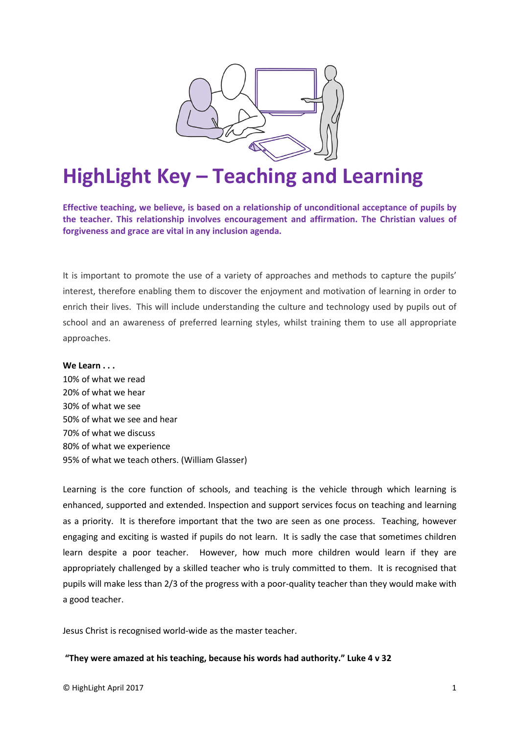

# HighLight Key – Teaching and Learning

Effective teaching, we believe, is based on a relationship of unconditional acceptance of pupils by the teacher. This relationship involves encouragement and affirmation. The Christian values of forgiveness and grace are vital in any inclusion agenda.

It is important to promote the use of a variety of approaches and methods to capture the pupils' interest, therefore enabling them to discover the enjoyment and motivation of learning in order to enrich their lives. This will include understanding the culture and technology used by pupils out of school and an awareness of preferred learning styles, whilst training them to use all appropriate approaches.

# We Learn . . . 10% of what we read 20% of what we hear 30% of what we see 50% of what we see and hear 70% of what we discuss 80% of what we experience 95% of what we teach others. (William Glasser)

Learning is the core function of schools, and teaching is the vehicle through which learning is enhanced, supported and extended. Inspection and support services focus on teaching and learning as a priority. It is therefore important that the two are seen as one process. Teaching, however engaging and exciting is wasted if pupils do not learn. It is sadly the case that sometimes children learn despite a poor teacher. However, how much more children would learn if they are appropriately challenged by a skilled teacher who is truly committed to them. It is recognised that pupils will make less than 2/3 of the progress with a poor-quality teacher than they would make with a good teacher.

Jesus Christ is recognised world-wide as the master teacher.

"They were amazed at his teaching, because his words had authority." Luke 4 v 32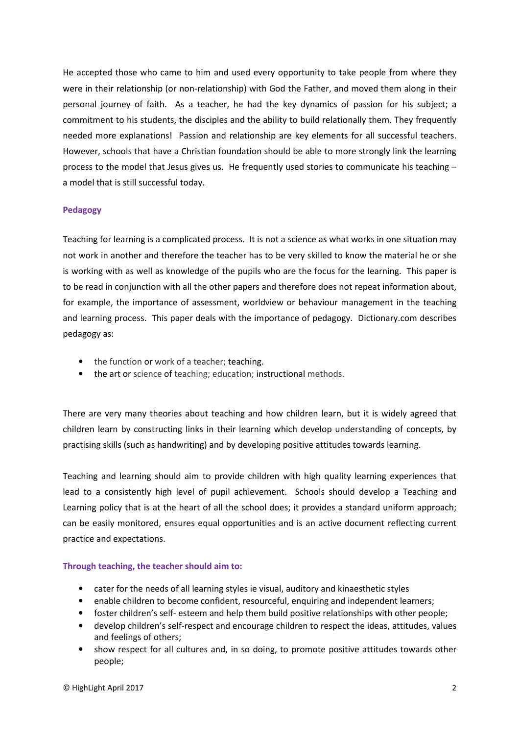He accepted those who came to him and used every opportunity to take people from where they were in their relationship (or non-relationship) with God the Father, and moved them along in their personal journey of faith. As a teacher, he had the key dynamics of passion for his subject; a commitment to his students, the disciples and the ability to build relationally them. They frequently needed more explanations! Passion and relationship are key elements for all successful teachers. However, schools that have a Christian foundation should be able to more strongly link the learning process to the model that Jesus gives us. He frequently used stories to communicate his teaching – a model that is still successful today.

# Pedagogy

Teaching for learning is a complicated process. It is not a science as what works in one situation may not work in another and therefore the teacher has to be very skilled to know the material he or she is working with as well as knowledge of the pupils who are the focus for the learning. This paper is to be read in conjunction with all the other papers and therefore does not repeat information about, for example, the importance of assessment, worldview or behaviour management in the teaching and learning process. This paper deals with the importance of pedagogy. Dictionary.com describes pedagogy as:

- the function or work of a teacher; teaching.
- the art or science of teaching; education; instructional methods.

There are very many theories about teaching and how children learn, but it is widely agreed that children learn by constructing links in their learning which develop understanding of concepts, by practising skills (such as handwriting) and by developing positive attitudes towards learning.

Teaching and learning should aim to provide children with high quality learning experiences that lead to a consistently high level of pupil achievement. Schools should develop a Teaching and Learning policy that is at the heart of all the school does; it provides a standard uniform approach; can be easily monitored, ensures equal opportunities and is an active document reflecting current practice and expectations.

# Through teaching, the teacher should aim to:

- cater for the needs of all learning styles ie visual, auditory and kinaesthetic styles
- enable children to become confident, resourceful, enquiring and independent learners;
- foster children's self- esteem and help them build positive relationships with other people;
- develop children's self-respect and encourage children to respect the ideas, attitudes, values and feelings of others;
- show respect for all cultures and, in so doing, to promote positive attitudes towards other people;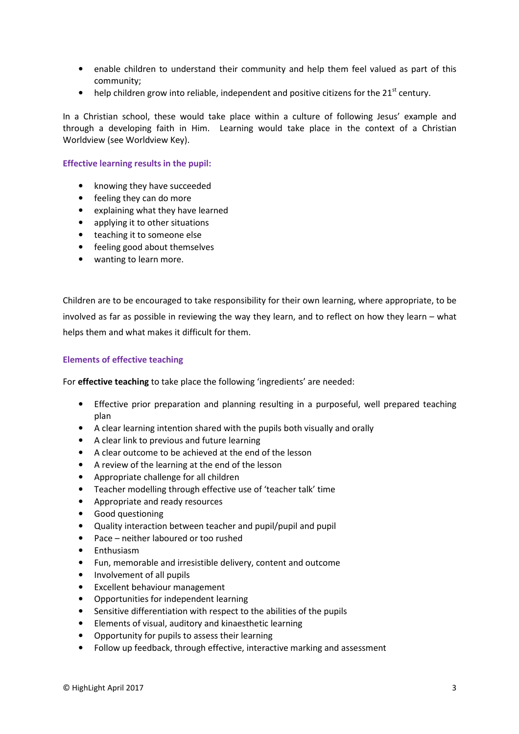- enable children to understand their community and help them feel valued as part of this community;
- help children grow into reliable, independent and positive citizens for the  $21^{st}$  century.

In a Christian school, these would take place within a culture of following Jesus' example and through a developing faith in Him. Learning would take place in the context of a Christian Worldview (see Worldview Key).

# Effective learning results in the pupil:

- knowing they have succeeded
- feeling they can do more
- explaining what they have learned
- applying it to other situations
- teaching it to someone else
- feeling good about themselves
- wanting to learn more.

Children are to be encouraged to take responsibility for their own learning, where appropriate, to be involved as far as possible in reviewing the way they learn, and to reflect on how they learn – what helps them and what makes it difficult for them.

# Elements of effective teaching

For effective teaching to take place the following 'ingredients' are needed:

- Effective prior preparation and planning resulting in a purposeful, well prepared teaching plan
- A clear learning intention shared with the pupils both visually and orally
- A clear link to previous and future learning
- A clear outcome to be achieved at the end of the lesson
- A review of the learning at the end of the lesson
- Appropriate challenge for all children
- Teacher modelling through effective use of 'teacher talk' time
- Appropriate and ready resources
- Good questioning
- Quality interaction between teacher and pupil/pupil and pupil
- Pace neither laboured or too rushed
- Enthusiasm
- Fun, memorable and irresistible delivery, content and outcome
- Involvement of all pupils
- Excellent behaviour management
- Opportunities for independent learning
- Sensitive differentiation with respect to the abilities of the pupils
- Elements of visual, auditory and kinaesthetic learning
- Opportunity for pupils to assess their learning
- Follow up feedback, through effective, interactive marking and assessment